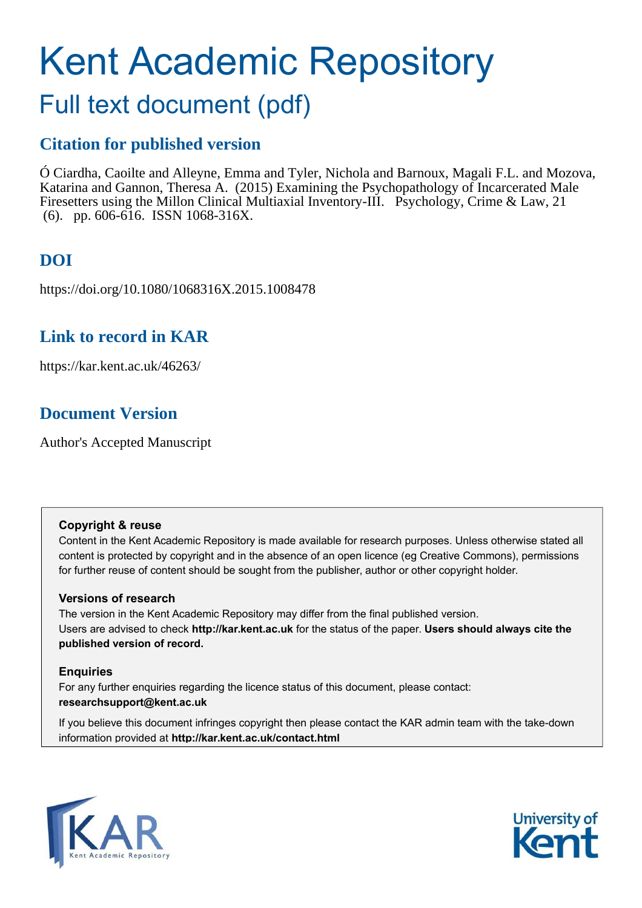# Kent Academic Repository

## Full text document (pdf)

## **Citation for published version**

Ó Ciardha, Caoilte and Alleyne, Emma and Tyler, Nichola and Barnoux, Magali F.L. and Mozova, Katarina and Gannon, Theresa A. (2015) Examining the Psychopathology of Incarcerated Male Firesetters using the Millon Clinical Multiaxial Inventory-III. Psychology, Crime & Law, 21 (6). pp. 606-616. ISSN 1068-316X.

## **DOI**

https://doi.org/10.1080/1068316X.2015.1008478

## **Link to record in KAR**

https://kar.kent.ac.uk/46263/

## **Document Version**

Author's Accepted Manuscript

#### **Copyright & reuse**

Content in the Kent Academic Repository is made available for research purposes. Unless otherwise stated all content is protected by copyright and in the absence of an open licence (eg Creative Commons), permissions for further reuse of content should be sought from the publisher, author or other copyright holder.

#### **Versions of research**

The version in the Kent Academic Repository may differ from the final published version. Users are advised to check **http://kar.kent.ac.uk** for the status of the paper. **Users should always cite the published version of record.**

#### **Enquiries**

For any further enquiries regarding the licence status of this document, please contact: **researchsupport@kent.ac.uk**

If you believe this document infringes copyright then please contact the KAR admin team with the take-down information provided at **http://kar.kent.ac.uk/contact.html**



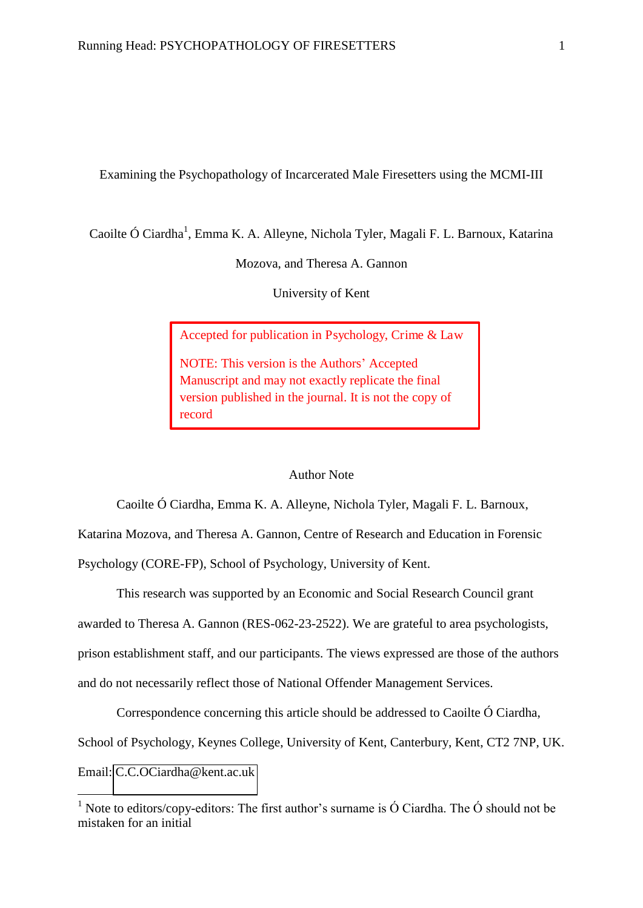Examining the Psychopathology of Incarcerated Male Firesetters using the MCMI-III

Caoilte Ó Ciardha<sup>1</sup>, Emma K. A. Alleyne, Nichola Tyler, Magali F. L. Barnoux, Katarina

Mozova, and Theresa A. Gannon

University of Kent

Accepted for publication in Psychology, Crime & Law

NOTE: This version is the Authors' Accepted Manuscript and may not exactly replicate the final version published in the journal. It is not the copy of record

#### Author Note

Caoilte Ó Ciardha, Emma K. A. Alleyne, Nichola Tyler, Magali F. L. Barnoux,

Katarina Mozova, and Theresa A. Gannon, Centre of Research and Education in Forensic Psychology (CORE-FP), School of Psychology, University of Kent.

This research was supported by an Economic and Social Research Council grant

awarded to Theresa A. Gannon (RES-062-23-2522). We are grateful to area psychologists,

prison establishment staff, and our participants. The views expressed are those of the authors

and do not necessarily reflect those of National Offender Management Services.

Correspondence concerning this article should be addressed to Caoilte Ó Ciardha,

School of Psychology, Keynes College, University of Kent, Canterbury, Kent, CT2 7NP, UK.

Email: [C.C.OCiardha@kent.ac.uk](mailto:C.C.OCiardha@kent.ac.uk) 

<u>.</u>

<sup>&</sup>lt;sup>1</sup> Note to editors/copy-editors: The first author's surname is  $\acute{O}$  Ciardha. The  $\acute{O}$  should not be mistaken for an initial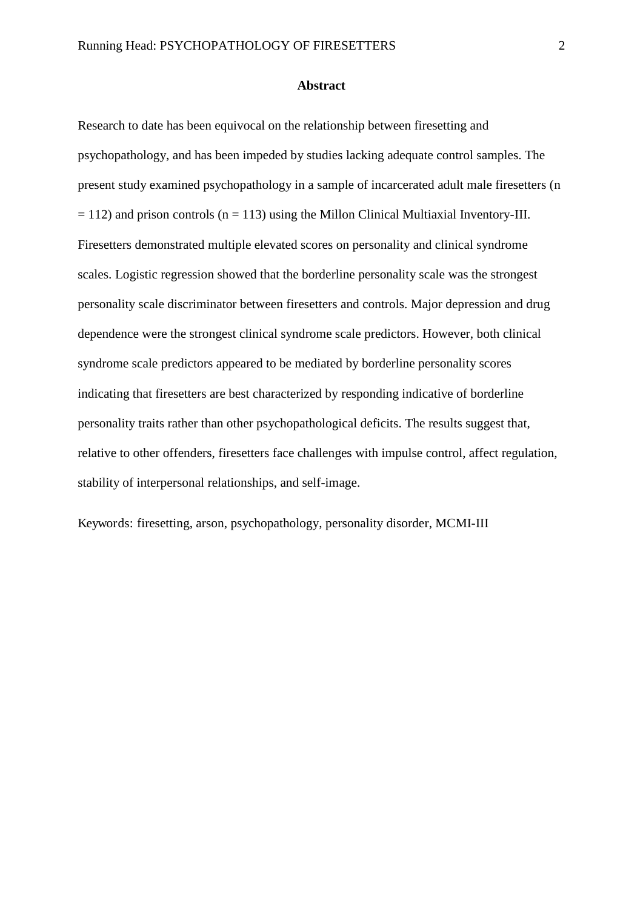#### **Abstract**

Research to date has been equivocal on the relationship between firesetting and psychopathology, and has been impeded by studies lacking adequate control samples. The present study examined psychopathology in a sample of incarcerated adult male firesetters (n  $= 112$ ) and prison controls (n = 113) using the Millon Clinical Multiaxial Inventory-III. Firesetters demonstrated multiple elevated scores on personality and clinical syndrome scales. Logistic regression showed that the borderline personality scale was the strongest personality scale discriminator between firesetters and controls. Major depression and drug dependence were the strongest clinical syndrome scale predictors. However, both clinical syndrome scale predictors appeared to be mediated by borderline personality scores indicating that firesetters are best characterized by responding indicative of borderline personality traits rather than other psychopathological deficits. The results suggest that, relative to other offenders, firesetters face challenges with impulse control, affect regulation, stability of interpersonal relationships, and self-image.

Keywords: firesetting, arson, psychopathology, personality disorder, MCMI-III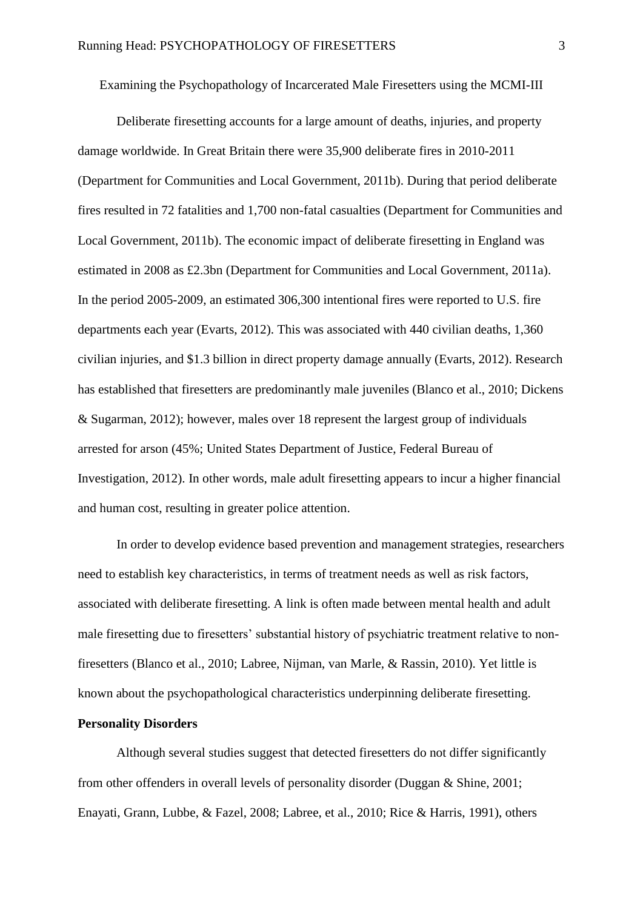Examining the Psychopathology of Incarcerated Male Firesetters using the MCMI-III

Deliberate firesetting accounts for a large amount of deaths, injuries, and property damage worldwide. In Great Britain there were 35,900 deliberate fires in 2010-2011 (Department for Communities and Local Government, 2011b). During that period deliberate fires resulted in 72 fatalities and 1,700 non-fatal casualties (Department for Communities and Local Government, 2011b). The economic impact of deliberate firesetting in England was estimated in 2008 as £2.3bn (Department for Communities and Local Government, 2011a). In the period 2005-2009, an estimated 306,300 intentional fires were reported to U.S. fire departments each year (Evarts, 2012). This was associated with 440 civilian deaths, 1,360 civilian injuries, and \$1.3 billion in direct property damage annually (Evarts, 2012). Research has established that firesetters are predominantly male juveniles (Blanco et al., 2010; Dickens & Sugarman, 2012); however, males over 18 represent the largest group of individuals arrested for arson (45%; United States Department of Justice, Federal Bureau of Investigation, 2012). In other words, male adult firesetting appears to incur a higher financial and human cost, resulting in greater police attention.

In order to develop evidence based prevention and management strategies, researchers need to establish key characteristics, in terms of treatment needs as well as risk factors, associated with deliberate firesetting. A link is often made between mental health and adult male firesetting due to firesetters' substantial history of psychiatric treatment relative to nonfiresetters (Blanco et al., 2010; Labree, Nijman, van Marle, & Rassin, 2010). Yet little is known about the psychopathological characteristics underpinning deliberate firesetting.

#### **Personality Disorders**

Although several studies suggest that detected firesetters do not differ significantly from other offenders in overall levels of personality disorder (Duggan & Shine, 2001; Enayati, Grann, Lubbe, & Fazel, 2008; Labree, et al., 2010; Rice & Harris, 1991), others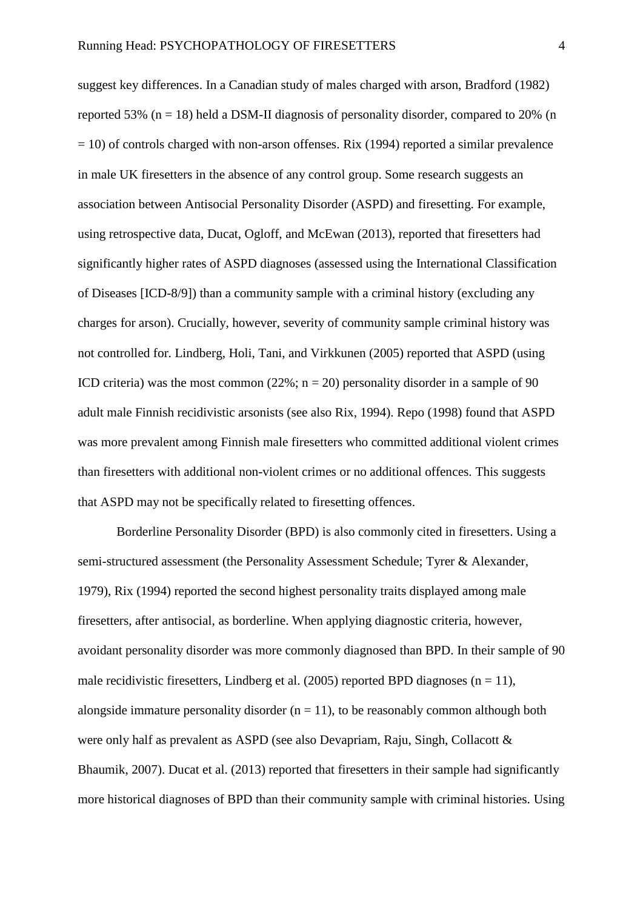suggest key differences. In a Canadian study of males charged with arson, Bradford (1982) reported 53% ( $n = 18$ ) held a DSM-II diagnosis of personality disorder, compared to 20% (n  $= 10$ ) of controls charged with non-arson offenses. Rix (1994) reported a similar prevalence in male UK firesetters in the absence of any control group. Some research suggests an association between Antisocial Personality Disorder (ASPD) and firesetting. For example, using retrospective data, Ducat, Ogloff, and McEwan (2013), reported that firesetters had significantly higher rates of ASPD diagnoses (assessed using the International Classification of Diseases [ICD-8/9]) than a community sample with a criminal history (excluding any charges for arson). Crucially, however, severity of community sample criminal history was not controlled for. Lindberg, Holi, Tani, and Virkkunen (2005) reported that ASPD (using ICD criteria) was the most common  $(22\%; n = 20)$  personality disorder in a sample of 90 adult male Finnish recidivistic arsonists (see also Rix, 1994). Repo (1998) found that ASPD was more prevalent among Finnish male firesetters who committed additional violent crimes than firesetters with additional non-violent crimes or no additional offences. This suggests that ASPD may not be specifically related to firesetting offences.

Borderline Personality Disorder (BPD) is also commonly cited in firesetters. Using a semi-structured assessment (the Personality Assessment Schedule; Tyrer & Alexander, 1979), Rix (1994) reported the second highest personality traits displayed among male firesetters, after antisocial, as borderline. When applying diagnostic criteria, however, avoidant personality disorder was more commonly diagnosed than BPD. In their sample of 90 male recidivistic firesetters, Lindberg et al. (2005) reported BPD diagnoses ( $n = 11$ ), alongside immature personality disorder  $(n = 11)$ , to be reasonably common although both were only half as prevalent as ASPD (see also Devapriam, Raju, Singh, Collacott & Bhaumik, 2007). Ducat et al. (2013) reported that firesetters in their sample had significantly more historical diagnoses of BPD than their community sample with criminal histories. Using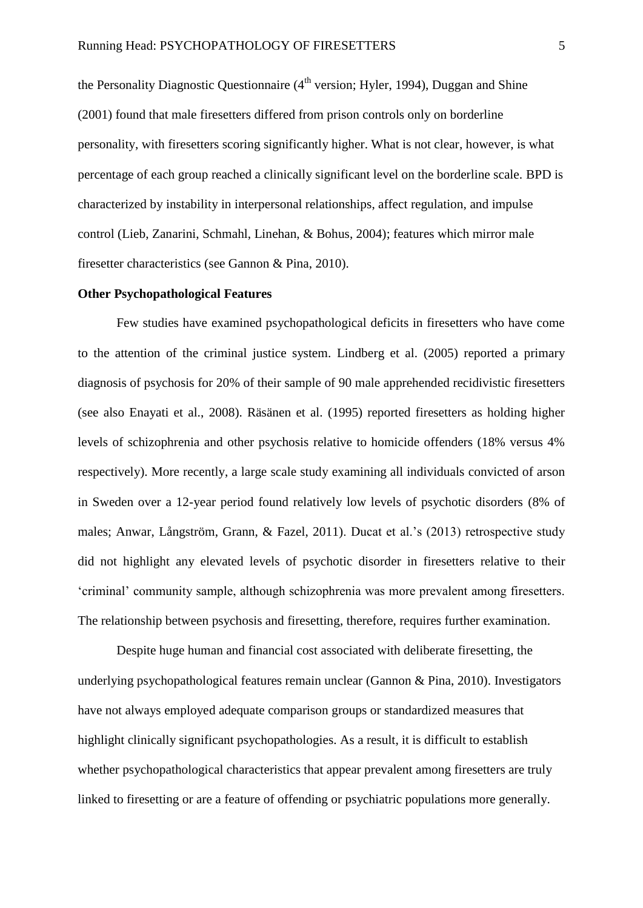the Personality Diagnostic Questionnaire  $(4<sup>th</sup>$  version; Hyler, 1994), Duggan and Shine (2001) found that male firesetters differed from prison controls only on borderline personality, with firesetters scoring significantly higher. What is not clear, however, is what percentage of each group reached a clinically significant level on the borderline scale. BPD is characterized by instability in interpersonal relationships, affect regulation, and impulse control (Lieb, Zanarini, Schmahl, Linehan, & Bohus, 2004); features which mirror male firesetter characteristics (see Gannon & Pina, 2010).

#### **Other Psychopathological Features**

Few studies have examined psychopathological deficits in firesetters who have come to the attention of the criminal justice system. Lindberg et al. (2005) reported a primary diagnosis of psychosis for 20% of their sample of 90 male apprehended recidivistic firesetters (see also Enayati et al., 2008). Räsänen et al. (1995) reported firesetters as holding higher levels of schizophrenia and other psychosis relative to homicide offenders (18% versus 4% respectively). More recently, a large scale study examining all individuals convicted of arson in Sweden over a 12-year period found relatively low levels of psychotic disorders (8% of males; Anwar, Långström, Grann, & Fazel, 2011). Ducat et al.'s (2013) retrospective study did not highlight any elevated levels of psychotic disorder in firesetters relative to their 'criminal' community sample, although schizophrenia was more prevalent among firesetters. The relationship between psychosis and firesetting, therefore, requires further examination.

Despite huge human and financial cost associated with deliberate firesetting, the underlying psychopathological features remain unclear (Gannon & Pina, 2010). Investigators have not always employed adequate comparison groups or standardized measures that highlight clinically significant psychopathologies. As a result, it is difficult to establish whether psychopathological characteristics that appear prevalent among firesetters are truly linked to firesetting or are a feature of offending or psychiatric populations more generally.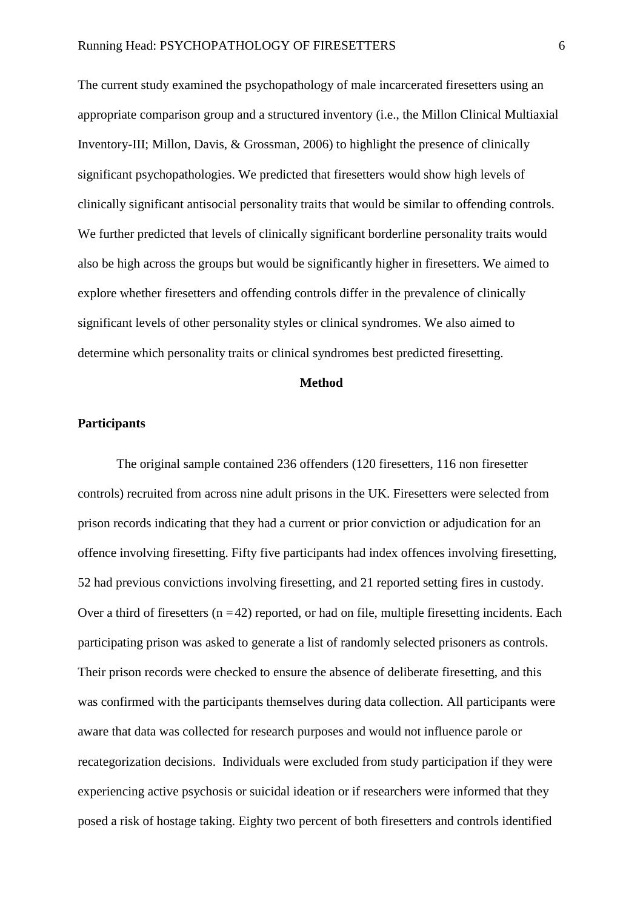The current study examined the psychopathology of male incarcerated firesetters using an appropriate comparison group and a structured inventory (i.e., the Millon Clinical Multiaxial Inventory-III; Millon, Davis, & Grossman, 2006) to highlight the presence of clinically significant psychopathologies. We predicted that firesetters would show high levels of clinically significant antisocial personality traits that would be similar to offending controls. We further predicted that levels of clinically significant borderline personality traits would also be high across the groups but would be significantly higher in firesetters. We aimed to explore whether firesetters and offending controls differ in the prevalence of clinically significant levels of other personality styles or clinical syndromes. We also aimed to determine which personality traits or clinical syndromes best predicted firesetting.

#### **Method**

#### **Participants**

The original sample contained 236 offenders (120 firesetters, 116 non firesetter controls) recruited from across nine adult prisons in the UK. Firesetters were selected from prison records indicating that they had a current or prior conviction or adjudication for an offence involving firesetting. Fifty five participants had index offences involving firesetting, 52 had previous convictions involving firesetting, and 21 reported setting fires in custody. Over a third of firesetters  $(n = 42)$  reported, or had on file, multiple firesetting incidents. Each participating prison was asked to generate a list of randomly selected prisoners as controls. Their prison records were checked to ensure the absence of deliberate firesetting, and this was confirmed with the participants themselves during data collection. All participants were aware that data was collected for research purposes and would not influence parole or recategorization decisions. Individuals were excluded from study participation if they were experiencing active psychosis or suicidal ideation or if researchers were informed that they posed a risk of hostage taking. Eighty two percent of both firesetters and controls identified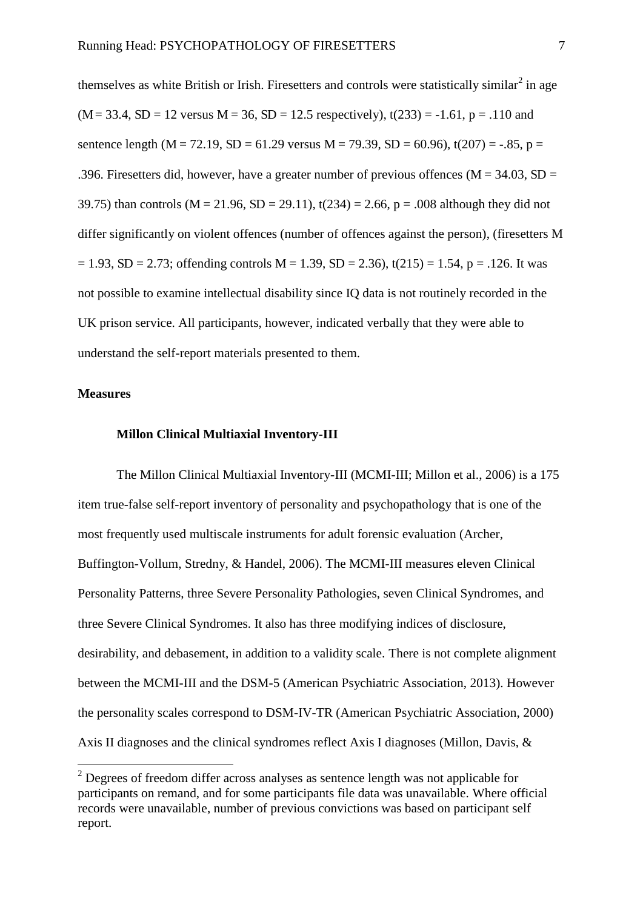themselves as white British or Irish. Firesetters and controls were statistically similar<sup>2</sup> in age  $(M = 33.4, SD = 12$  versus  $M = 36$ ,  $SD = 12.5$  respectively),  $t(233) = -1.61$ ,  $p = .110$  and sentence length (M = 72.19, SD = 61.29 versus M = 79.39, SD = 60.96), t(207) = -.85, p = .396. Firesetters did, however, have a greater number of previous offences ( $M = 34.03$ , SD = 39.75) than controls ( $M = 21.96$ ,  $SD = 29.11$ ), t(234) = 2.66, p = .008 although they did not differ significantly on violent offences (number of offences against the person), (firesetters M  $= 1.93$ , SD = 2.73; offending controls M = 1.39, SD = 2.36), t(215) = 1.54, p = .126. It was not possible to examine intellectual disability since IQ data is not routinely recorded in the UK prison service. All participants, however, indicated verbally that they were able to understand the self-report materials presented to them.

#### **Measures**

-

#### **Millon Clinical Multiaxial Inventory-III**

The Millon Clinical Multiaxial Inventory-III (MCMI-III; Millon et al., 2006) is a 175 item true-false self-report inventory of personality and psychopathology that is one of the most frequently used multiscale instruments for adult forensic evaluation (Archer, Buffington-Vollum, Stredny, & Handel, 2006). The MCMI-III measures eleven Clinical Personality Patterns, three Severe Personality Pathologies, seven Clinical Syndromes, and three Severe Clinical Syndromes. It also has three modifying indices of disclosure, desirability, and debasement, in addition to a validity scale. There is not complete alignment between the MCMI-III and the DSM-5 (American Psychiatric Association, 2013). However the personality scales correspond to DSM-IV-TR (American Psychiatric Association, 2000) Axis II diagnoses and the clinical syndromes reflect Axis I diagnoses (Millon, Davis, &

 $2$  Degrees of freedom differ across analyses as sentence length was not applicable for participants on remand, and for some participants file data was unavailable. Where official records were unavailable, number of previous convictions was based on participant self report.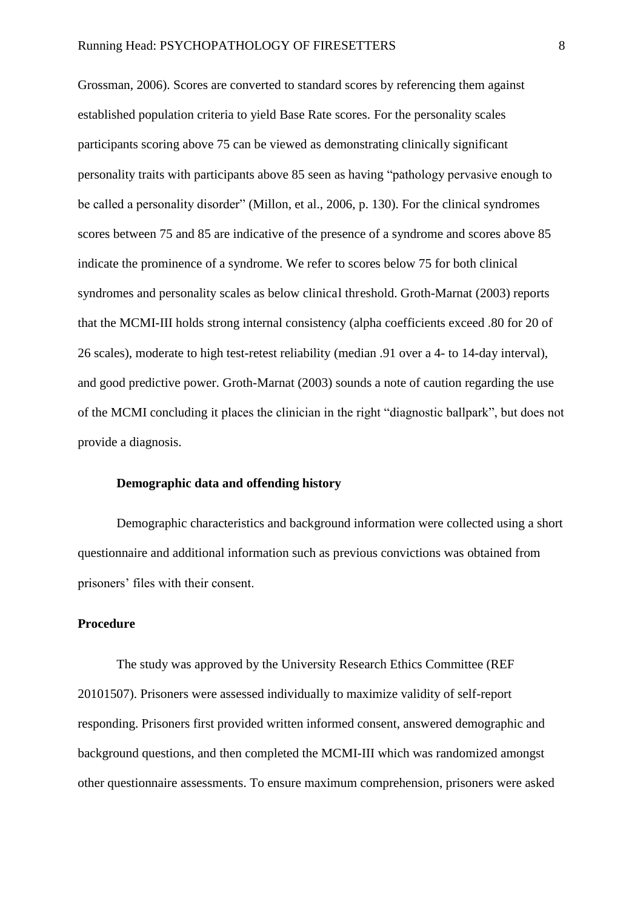Grossman, 2006). Scores are converted to standard scores by referencing them against established population criteria to yield Base Rate scores. For the personality scales participants scoring above 75 can be viewed as demonstrating clinically significant personality traits with participants above 85 seen as having "pathology pervasive enough to be called a personality disorder" (Millon, et al., 2006, p. 130). For the clinical syndromes scores between 75 and 85 are indicative of the presence of a syndrome and scores above 85 indicate the prominence of a syndrome. We refer to scores below 75 for both clinical syndromes and personality scales as below clinical threshold. Groth-Marnat (2003) reports that the MCMI-III holds strong internal consistency (alpha coefficients exceed .80 for 20 of 26 scales), moderate to high test-retest reliability (median .91 over a 4- to 14-day interval), and good predictive power. Groth-Marnat (2003) sounds a note of caution regarding the use of the MCMI concluding it places the clinician in the right "diagnostic ballpark", but does not provide a diagnosis.

#### **Demographic data and offending history**

Demographic characteristics and background information were collected using a short questionnaire and additional information such as previous convictions was obtained from prisoners' files with their consent.

#### **Procedure**

The study was approved by the University Research Ethics Committee (REF 20101507). Prisoners were assessed individually to maximize validity of self-report responding. Prisoners first provided written informed consent, answered demographic and background questions, and then completed the MCMI-III which was randomized amongst other questionnaire assessments. To ensure maximum comprehension, prisoners were asked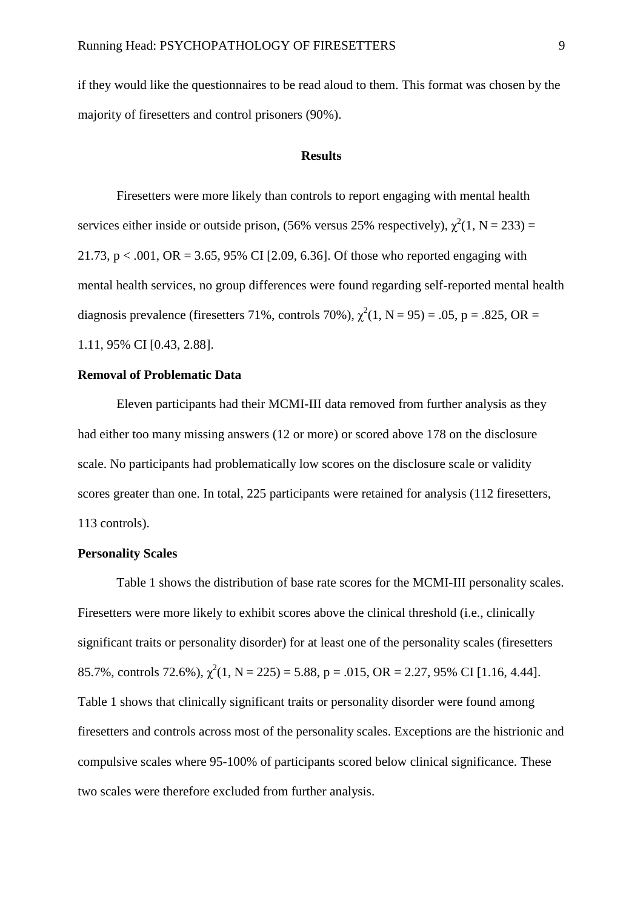if they would like the questionnaires to be read aloud to them. This format was chosen by the majority of firesetters and control prisoners (90%).

#### **Results**

Firesetters were more likely than controls to report engaging with mental health services either inside or outside prison, (56% versus 25% respectively),  $\chi^2(1, N = 233) =$ 21.73,  $p < .001$ ,  $OR = 3.65$ , 95% CI [2.09, 6.36]. Of those who reported engaging with mental health services, no group differences were found regarding self-reported mental health diagnosis prevalence (firesetters 71%, controls 70%),  $\chi^2(1, N = 95) = .05$ , p = .825, OR = 1.11, 95% CI [0.43, 2.88].

#### **Removal of Problematic Data**

Eleven participants had their MCMI-III data removed from further analysis as they had either too many missing answers (12 or more) or scored above 178 on the disclosure scale. No participants had problematically low scores on the disclosure scale or validity scores greater than one. In total, 225 participants were retained for analysis (112 firesetters, 113 controls).

#### **Personality Scales**

Table 1 shows the distribution of base rate scores for the MCMI-III personality scales. Firesetters were more likely to exhibit scores above the clinical threshold (i.e., clinically significant traits or personality disorder) for at least one of the personality scales (firesetters 85.7%, controls 72.6%),  $\chi^2(1, N = 225) = 5.88$ , p = .015, OR = 2.27, 95% CI [1.16, 4.44]. Table 1 shows that clinically significant traits or personality disorder were found among firesetters and controls across most of the personality scales. Exceptions are the histrionic and compulsive scales where 95-100% of participants scored below clinical significance. These two scales were therefore excluded from further analysis.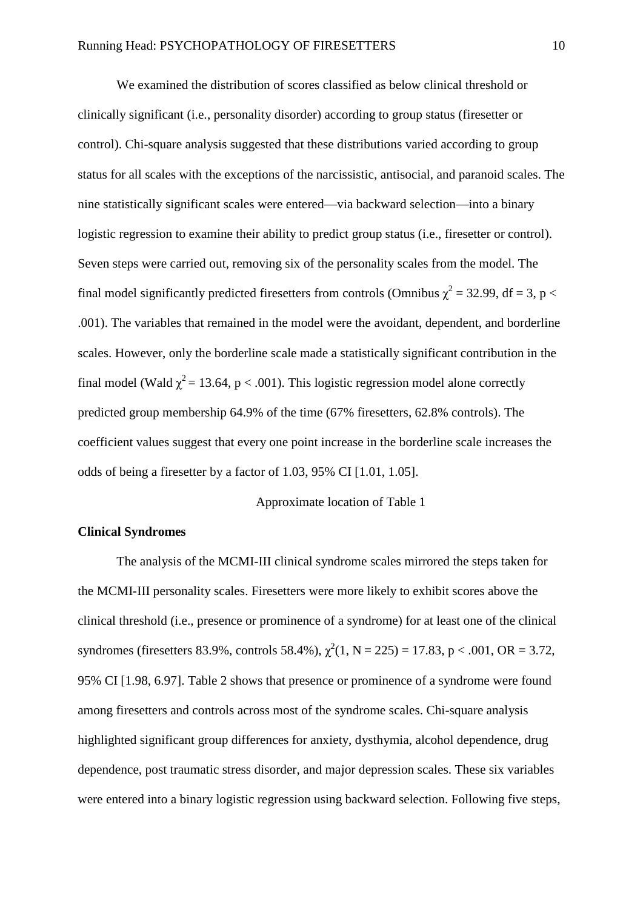We examined the distribution of scores classified as below clinical threshold or clinically significant (i.e., personality disorder) according to group status (firesetter or control). Chi-square analysis suggested that these distributions varied according to group status for all scales with the exceptions of the narcissistic, antisocial, and paranoid scales. The nine statistically significant scales were entered—via backward selection—into a binary logistic regression to examine their ability to predict group status (i.e., firesetter or control). Seven steps were carried out, removing six of the personality scales from the model. The final model significantly predicted firesetters from controls (Omnibus  $\chi^2 = 32.99$ , df = 3, p < .001). The variables that remained in the model were the avoidant, dependent, and borderline scales. However, only the borderline scale made a statistically significant contribution in the final model (Wald  $\chi^2$  = 13.64, p < .001). This logistic regression model alone correctly predicted group membership 64.9% of the time (67% firesetters, 62.8% controls). The coefficient values suggest that every one point increase in the borderline scale increases the odds of being a firesetter by a factor of 1.03, 95% CI [1.01, 1.05].

Approximate location of Table 1

#### **Clinical Syndromes**

The analysis of the MCMI-III clinical syndrome scales mirrored the steps taken for the MCMI-III personality scales. Firesetters were more likely to exhibit scores above the clinical threshold (i.e., presence or prominence of a syndrome) for at least one of the clinical syndromes (firesetters 83.9%, controls 58.4%),  $\chi^2(1, N = 225) = 17.83$ , p < .001, OR = 3.72, 95% CI [1.98, 6.97]. Table 2 shows that presence or prominence of a syndrome were found among firesetters and controls across most of the syndrome scales. Chi-square analysis highlighted significant group differences for anxiety, dysthymia, alcohol dependence, drug dependence, post traumatic stress disorder, and major depression scales. These six variables were entered into a binary logistic regression using backward selection. Following five steps,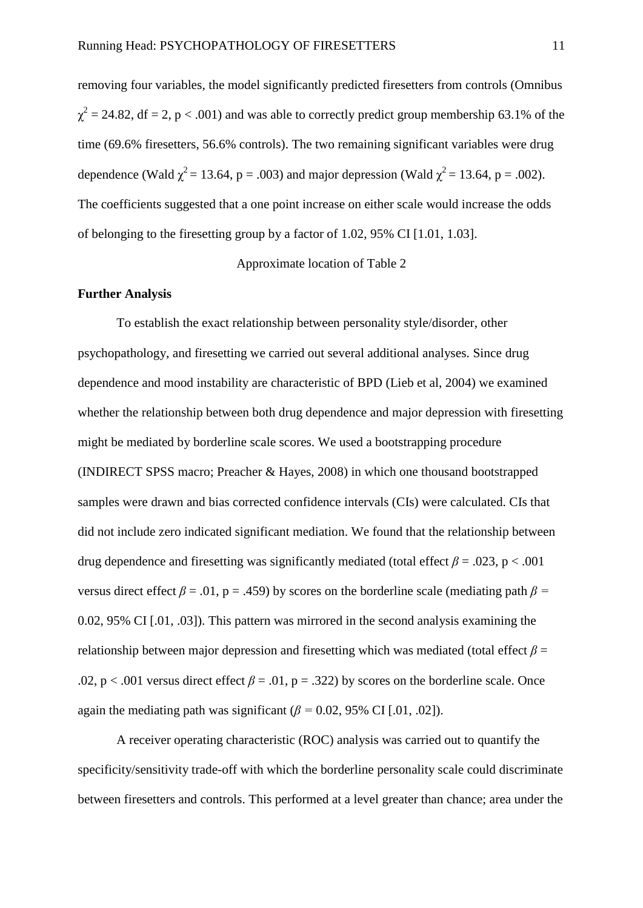removing four variables, the model significantly predicted firesetters from controls (Omnibus  $\chi^2$  = 24.82, df = 2, p < .001) and was able to correctly predict group membership 63.1% of the time (69.6% firesetters, 56.6% controls). The two remaining significant variables were drug dependence (Wald  $\chi^2$  = 13.64, p = .003) and major depression (Wald  $\chi^2$  = 13.64, p = .002). The coefficients suggested that a one point increase on either scale would increase the odds of belonging to the firesetting group by a factor of 1.02, 95% CI [1.01, 1.03].

Approximate location of Table 2

#### **Further Analysis**

To establish the exact relationship between personality style/disorder, other psychopathology, and firesetting we carried out several additional analyses. Since drug dependence and mood instability are characteristic of BPD (Lieb et al, 2004) we examined whether the relationship between both drug dependence and major depression with firesetting might be mediated by borderline scale scores. We used a bootstrapping procedure (INDIRECT SPSS macro; Preacher & Hayes, 2008) in which one thousand bootstrapped samples were drawn and bias corrected confidence intervals (CIs) were calculated. CIs that did not include zero indicated significant mediation. We found that the relationship between drug dependence and firesetting was significantly mediated (total effect  $\beta = .023$ , p < .001 versus direct effect  $\beta$  = .01, p = .459) by scores on the borderline scale (mediating path  $\beta$  = 0.02, 95% CI [.01, .03]). This pattern was mirrored in the second analysis examining the relationship between major depression and firesetting which was mediated (total effect  $\beta$  = .02,  $p < .001$  versus direct effect  $\beta = .01$ ,  $p = .322$ ) by scores on the borderline scale. Once again the mediating path was significant  $(\beta = 0.02, 95\% \text{ CI} [0.01, 0.02])$ .

A receiver operating characteristic (ROC) analysis was carried out to quantify the specificity/sensitivity trade-off with which the borderline personality scale could discriminate between firesetters and controls. This performed at a level greater than chance; area under the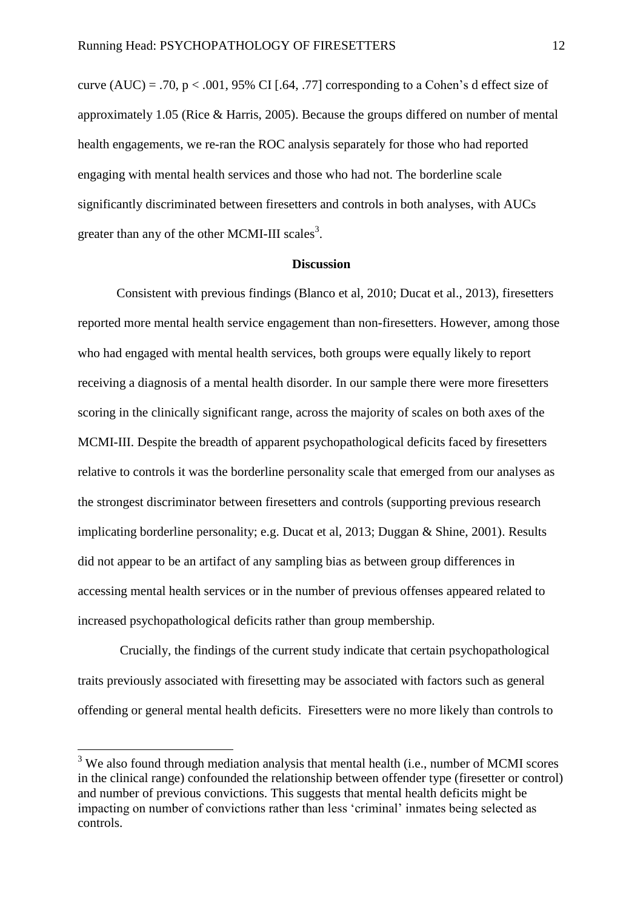curve  $(AUC) = .70$ ,  $p < .001$ , 95% CI [.64, .77] corresponding to a Cohen's d effect size of approximately 1.05 (Rice & Harris, 2005). Because the groups differed on number of mental health engagements, we re-ran the ROC analysis separately for those who had reported engaging with mental health services and those who had not. The borderline scale significantly discriminated between firesetters and controls in both analyses, with AUCs greater than any of the other MCMI-III scales<sup>3</sup>.

#### **Discussion**

Consistent with previous findings (Blanco et al, 2010; Ducat et al., 2013), firesetters reported more mental health service engagement than non-firesetters. However, among those who had engaged with mental health services, both groups were equally likely to report receiving a diagnosis of a mental health disorder. In our sample there were more firesetters scoring in the clinically significant range, across the majority of scales on both axes of the MCMI-III. Despite the breadth of apparent psychopathological deficits faced by firesetters relative to controls it was the borderline personality scale that emerged from our analyses as the strongest discriminator between firesetters and controls (supporting previous research implicating borderline personality; e.g. Ducat et al, 2013; Duggan & Shine, 2001). Results did not appear to be an artifact of any sampling bias as between group differences in accessing mental health services or in the number of previous offenses appeared related to increased psychopathological deficits rather than group membership.

 Crucially, the findings of the current study indicate that certain psychopathological traits previously associated with firesetting may be associated with factors such as general offending or general mental health deficits. Firesetters were no more likely than controls to

<sup>&</sup>lt;sup>3</sup> We also found through mediation analysis that mental health (i.e., number of MCMI scores in the clinical range) confounded the relationship between offender type (firesetter or control) and number of previous convictions. This suggests that mental health deficits might be impacting on number of convictions rather than less 'criminal' inmates being selected as controls.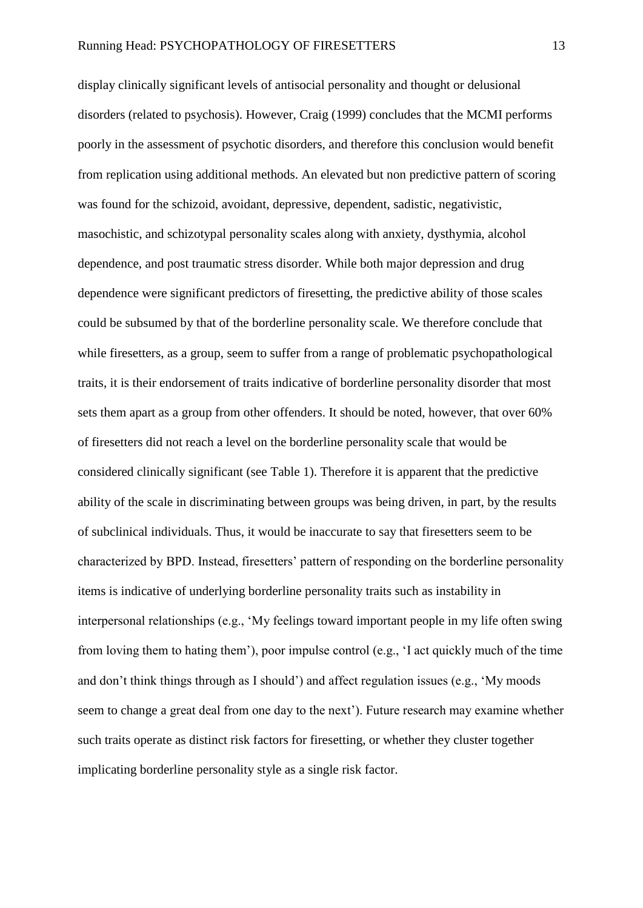display clinically significant levels of antisocial personality and thought or delusional disorders (related to psychosis). However, Craig (1999) concludes that the MCMI performs poorly in the assessment of psychotic disorders, and therefore this conclusion would benefit from replication using additional methods. An elevated but non predictive pattern of scoring was found for the schizoid, avoidant, depressive, dependent, sadistic, negativistic, masochistic, and schizotypal personality scales along with anxiety, dysthymia, alcohol dependence, and post traumatic stress disorder. While both major depression and drug dependence were significant predictors of firesetting, the predictive ability of those scales could be subsumed by that of the borderline personality scale. We therefore conclude that while firesetters, as a group, seem to suffer from a range of problematic psychopathological traits, it is their endorsement of traits indicative of borderline personality disorder that most sets them apart as a group from other offenders. It should be noted, however, that over 60% of firesetters did not reach a level on the borderline personality scale that would be considered clinically significant (see Table 1). Therefore it is apparent that the predictive ability of the scale in discriminating between groups was being driven, in part, by the results of subclinical individuals. Thus, it would be inaccurate to say that firesetters seem to be characterized by BPD. Instead, firesetters' pattern of responding on the borderline personality items is indicative of underlying borderline personality traits such as instability in interpersonal relationships (e.g., 'My feelings toward important people in my life often swing from loving them to hating them'), poor impulse control (e.g., 'I act quickly much of the time and don't think things through as I should') and affect regulation issues (e.g., 'My moods seem to change a great deal from one day to the next'). Future research may examine whether such traits operate as distinct risk factors for firesetting, or whether they cluster together implicating borderline personality style as a single risk factor.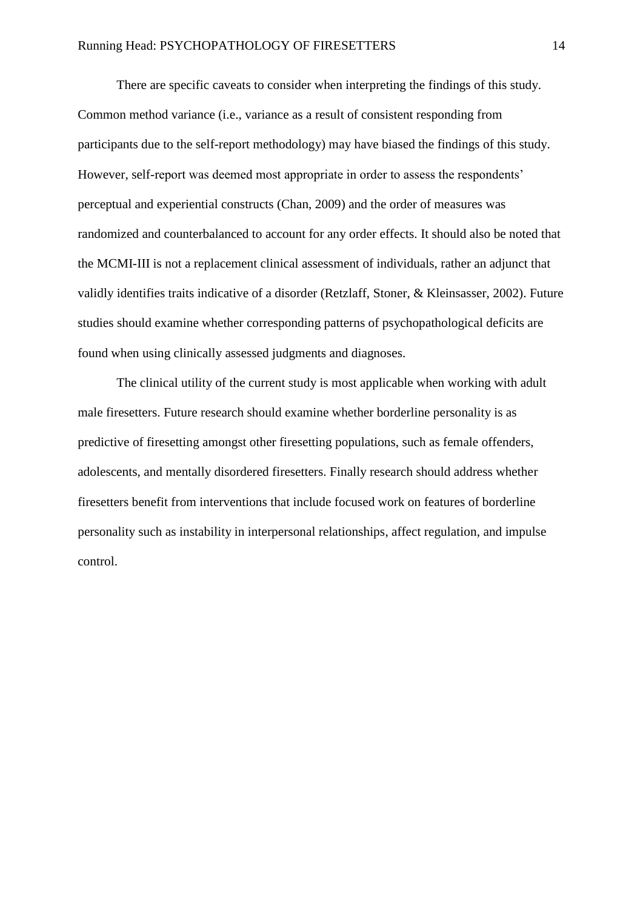There are specific caveats to consider when interpreting the findings of this study. Common method variance (i.e., variance as a result of consistent responding from participants due to the self-report methodology) may have biased the findings of this study. However, self-report was deemed most appropriate in order to assess the respondents' perceptual and experiential constructs (Chan, 2009) and the order of measures was randomized and counterbalanced to account for any order effects. It should also be noted that the MCMI-III is not a replacement clinical assessment of individuals, rather an adjunct that validly identifies traits indicative of a disorder (Retzlaff, Stoner, & Kleinsasser, 2002). Future studies should examine whether corresponding patterns of psychopathological deficits are found when using clinically assessed judgments and diagnoses.

The clinical utility of the current study is most applicable when working with adult male firesetters. Future research should examine whether borderline personality is as predictive of firesetting amongst other firesetting populations, such as female offenders, adolescents, and mentally disordered firesetters. Finally research should address whether firesetters benefit from interventions that include focused work on features of borderline personality such as instability in interpersonal relationships, affect regulation, and impulse control.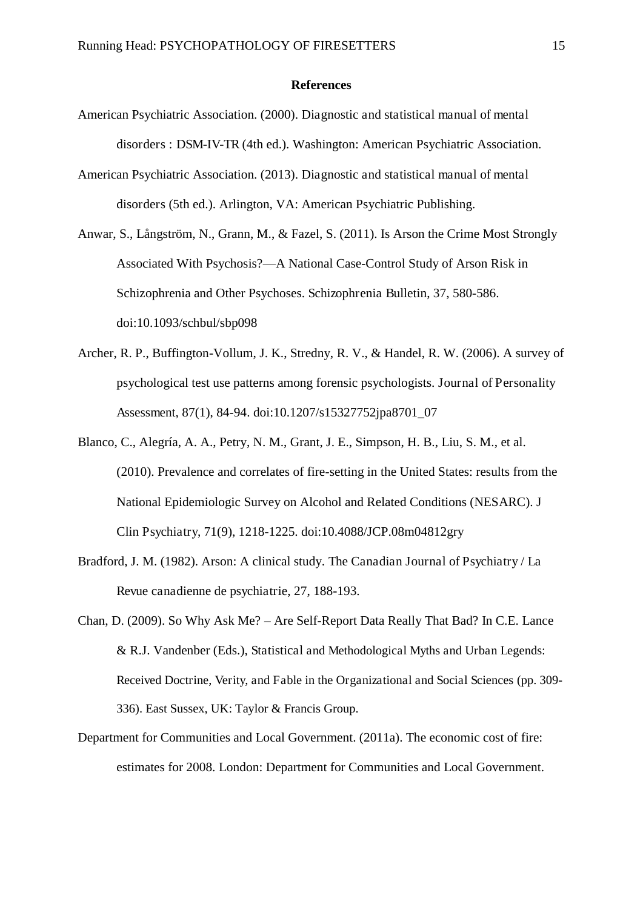#### **References**

- American Psychiatric Association. (2000). Diagnostic and statistical manual of mental disorders : DSM-IV-TR (4th ed.). Washington: American Psychiatric Association.
- American Psychiatric Association. (2013). Diagnostic and statistical manual of mental disorders (5th ed.). Arlington, VA: American Psychiatric Publishing.
- Anwar, S., Långström, N., Grann, M., & Fazel, S. (2011). Is Arson the Crime Most Strongly Associated With Psychosis?—A National Case-Control Study of Arson Risk in Schizophrenia and Other Psychoses. Schizophrenia Bulletin, 37, 580-586. doi:10.1093/schbul/sbp098
- Archer, R. P., Buffington-Vollum, J. K., Stredny, R. V., & Handel, R. W. (2006). A survey of psychological test use patterns among forensic psychologists. Journal of Personality Assessment, 87(1), 84-94. doi:10.1207/s15327752jpa8701\_07
- Blanco, C., Alegría, A. A., Petry, N. M., Grant, J. E., Simpson, H. B., Liu, S. M., et al. (2010). Prevalence and correlates of fire-setting in the United States: results from the National Epidemiologic Survey on Alcohol and Related Conditions (NESARC). J Clin Psychiatry, 71(9), 1218-1225. doi:10.4088/JCP.08m04812gry
- Bradford, J. M. (1982). Arson: A clinical study. The Canadian Journal of Psychiatry / La Revue canadienne de psychiatrie, 27, 188-193.
- Chan, D. (2009). So Why Ask Me? Are Self-Report Data Really That Bad? In C.E. Lance & R.J. Vandenber (Eds.), Statistical and Methodological Myths and Urban Legends: Received Doctrine, Verity, and Fable in the Organizational and Social Sciences (pp. 309- 336). East Sussex, UK: Taylor & Francis Group.
- Department for Communities and Local Government. (2011a). The economic cost of fire: estimates for 2008. London: Department for Communities and Local Government.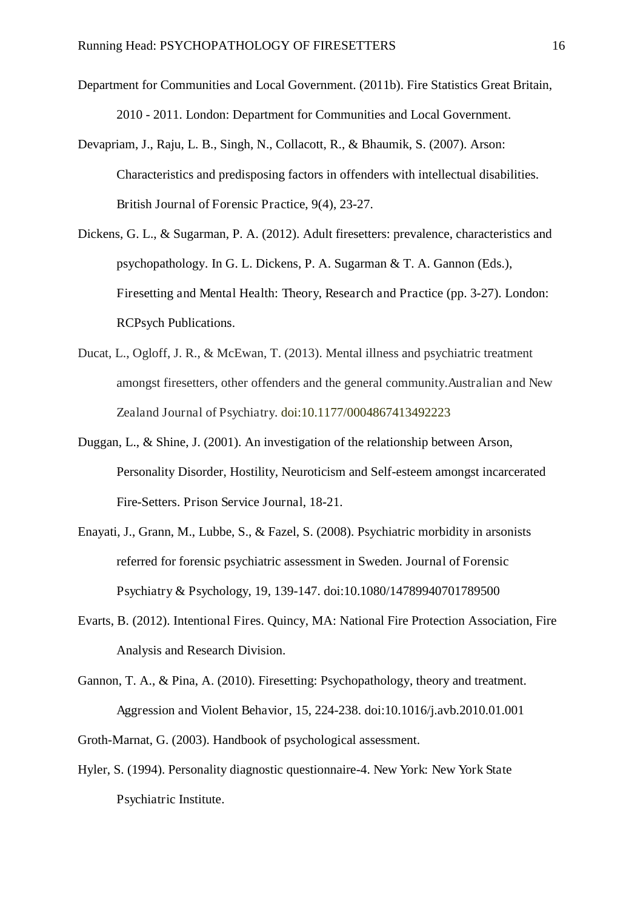- Department for Communities and Local Government. (2011b). Fire Statistics Great Britain, 2010 - 2011. London: Department for Communities and Local Government.
- Devapriam, J., Raju, L. B., Singh, N., Collacott, R., & Bhaumik, S. (2007). Arson: Characteristics and predisposing factors in offenders with intellectual disabilities. British Journal of Forensic Practice, 9(4), 23-27.
- Dickens, G. L., & Sugarman, P. A. (2012). Adult firesetters: prevalence, characteristics and psychopathology. In G. L. Dickens, P. A. Sugarman & T. A. Gannon (Eds.), Firesetting and Mental Health: Theory, Research and Practice (pp. 3-27). London: RCPsych Publications.
- Ducat, L., Ogloff, J. R., & McEwan, T. (2013). Mental illness and psychiatric treatment amongst firesetters, other offenders and the general community.Australian and New Zealand Journal of Psychiatry. doi:10.1177/0004867413492223
- Duggan, L., & Shine, J. (2001). An investigation of the relationship between Arson, Personality Disorder, Hostility, Neuroticism and Self-esteem amongst incarcerated Fire-Setters. Prison Service Journal, 18-21.
- Enayati, J., Grann, M., Lubbe, S., & Fazel, S. (2008). Psychiatric morbidity in arsonists referred for forensic psychiatric assessment in Sweden. Journal of Forensic Psychiatry & Psychology, 19, 139-147. doi:10.1080/14789940701789500
- Evarts, B. (2012). Intentional Fires. Quincy, MA: National Fire Protection Association, Fire Analysis and Research Division.
- Gannon, T. A., & Pina, A. (2010). Firesetting: Psychopathology, theory and treatment. Aggression and Violent Behavior, 15, 224-238. doi:10.1016/j.avb.2010.01.001

Groth-Marnat, G. (2003). Handbook of psychological assessment.

Hyler, S. (1994). Personality diagnostic questionnaire-4. New York: New York State Psychiatric Institute.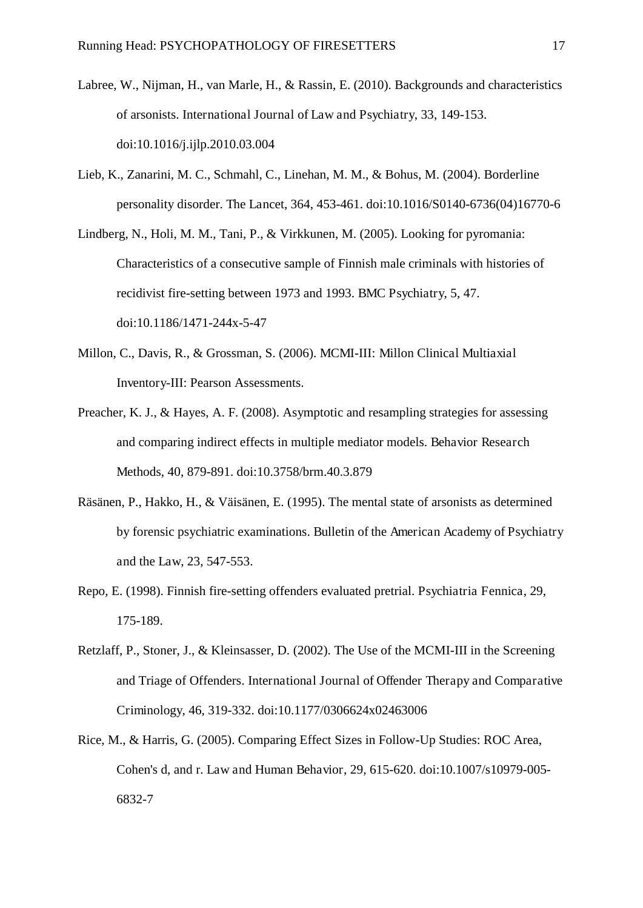- Labree, W., Nijman, H., van Marle, H., & Rassin, E. (2010). Backgrounds and characteristics of arsonists. International Journal of Law and Psychiatry, 33, 149-153. doi:10.1016/j.ijlp.2010.03.004
- Lieb, K., Zanarini, M. C., Schmahl, C., Linehan, M. M., & Bohus, M. (2004). Borderline personality disorder. The Lancet, 364, 453-461. doi:10.1016/S0140-6736(04)16770-6
- Lindberg, N., Holi, M. M., Tani, P., & Virkkunen, M. (2005). Looking for pyromania: Characteristics of a consecutive sample of Finnish male criminals with histories of recidivist fire-setting between 1973 and 1993. BMC Psychiatry, 5, 47. doi:10.1186/1471-244x-5-47
- Millon, C., Davis, R., & Grossman, S. (2006). MCMI-III: Millon Clinical Multiaxial Inventory-III: Pearson Assessments.
- Preacher, K. J., & Hayes, A. F. (2008). Asymptotic and resampling strategies for assessing and comparing indirect effects in multiple mediator models. Behavior Research Methods, 40, 879-891. doi:10.3758/brm.40.3.879
- Räsänen, P., Hakko, H., & Väisänen, E. (1995). The mental state of arsonists as determined by forensic psychiatric examinations. Bulletin of the American Academy of Psychiatry and the Law, 23, 547-553.
- Repo, E. (1998). Finnish fire-setting offenders evaluated pretrial. Psychiatria Fennica, 29, 175-189.
- Retzlaff, P., Stoner, J., & Kleinsasser, D. (2002). The Use of the MCMI-III in the Screening and Triage of Offenders. International Journal of Offender Therapy and Comparative Criminology, 46, 319-332. doi:10.1177/0306624x02463006
- Rice, M., & Harris, G. (2005). Comparing Effect Sizes in Follow-Up Studies: ROC Area, Cohen's d, and r. Law and Human Behavior, 29, 615-620. doi:10.1007/s10979-005- 6832-7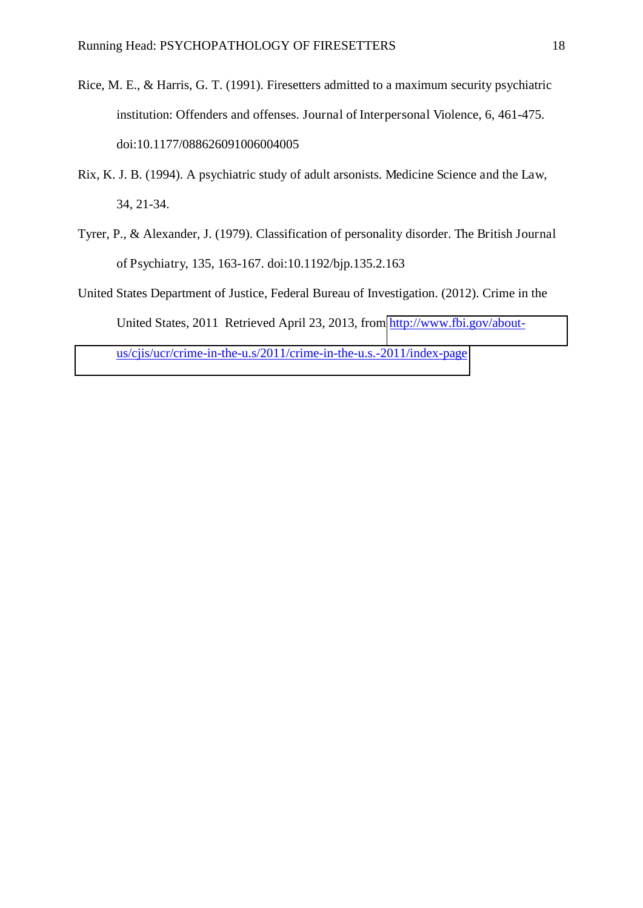- Rice, M. E., & Harris, G. T. (1991). Firesetters admitted to a maximum security psychiatric institution: Offenders and offenses. Journal of Interpersonal Violence, 6, 461-475. doi:10.1177/088626091006004005
- Rix, K. J. B. (1994). A psychiatric study of adult arsonists. Medicine Science and the Law, 34, 21-34.
- Tyrer, P., & Alexander, J. (1979). Classification of personality disorder. The British Journal of Psychiatry, 135, 163-167. doi:10.1192/bjp.135.2.163
- United States Department of Justice, Federal Bureau of Investigation. (2012). Crime in the United States, 2011 Retrieved April 23, 2013, from [http://www.fbi.gov/about](http://www.fbi.gov/about-us/cjis/ucr/crime-in-the-u.s/2011/crime-in-the-u.s.-2011/index-page)[us/cjis/ucr/crime-in-the-u.s/2011/crime-in-the-u.s.-2011/index-page](http://www.fbi.gov/about-us/cjis/ucr/crime-in-the-u.s/2011/crime-in-the-u.s.-2011/index-page)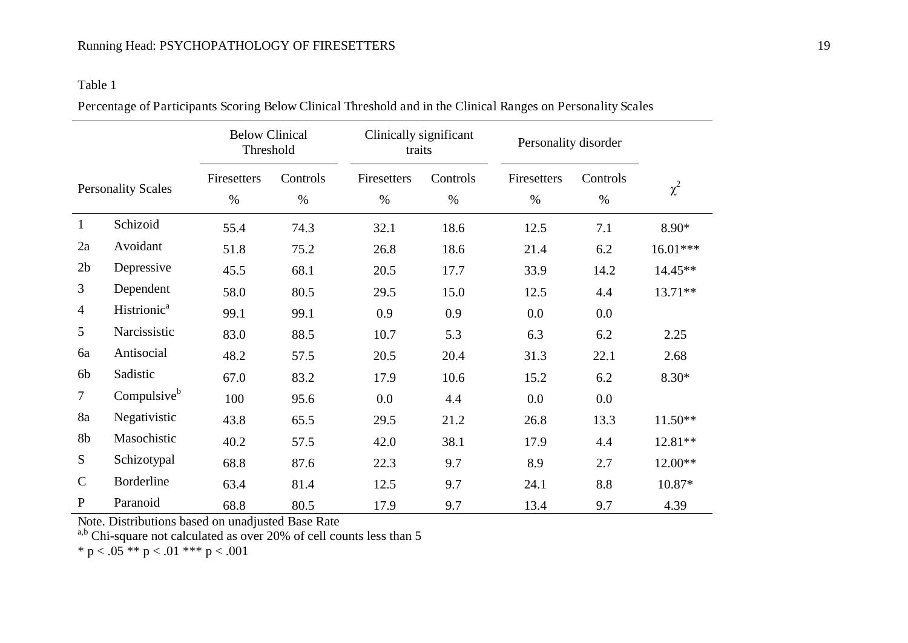#### Table 1

|  | Percentage of Participants Scoring Below Clinical Threshold and in the Clinical Ranges on Personality Scales |  |  |  |  |
|--|--------------------------------------------------------------------------------------------------------------|--|--|--|--|
|  |                                                                                                              |  |  |  |  |

|                           |                         | <b>Below Clinical</b><br>Threshold |                  | Clinically significant<br>traits |                  | Personality disorder |                  |           |
|---------------------------|-------------------------|------------------------------------|------------------|----------------------------------|------------------|----------------------|------------------|-----------|
| <b>Personality Scales</b> |                         | Firesetters<br>$\%$                | Controls<br>$\%$ | Firesetters<br>$\%$              | Controls<br>$\%$ | Firesetters<br>$\%$  | Controls<br>$\%$ | $\chi^2$  |
| $\mathbf{1}$              | Schizoid                | 55.4                               | 74.3             | 32.1                             | 18.6             | 12.5                 | 7.1              | 8.90*     |
| 2a                        | Avoidant                | 51.8                               | 75.2             | 26.8                             | 18.6             | 21.4                 | 6.2              | 16.01***  |
| 2 <sub>b</sub>            | Depressive              | 45.5                               | 68.1             | 20.5                             | 17.7             | 33.9                 | 14.2             | 14.45**   |
| $\overline{3}$            | Dependent               | 58.0                               | 80.5             | 29.5                             | 15.0             | 12.5                 | 4.4              | 13.71**   |
| $\overline{4}$            | Histrionic <sup>a</sup> | 99.1                               | 99.1             | 0.9                              | 0.9              | 0.0                  | 0.0              |           |
| 5                         | Narcissistic            | 83.0                               | 88.5             | 10.7                             | 5.3              | 6.3                  | 6.2              | 2.25      |
| 6a                        | Antisocial              | 48.2                               | 57.5             | 20.5                             | 20.4             | 31.3                 | 22.1             | 2.68      |
| 6b                        | Sadistic                | 67.0                               | 83.2             | 17.9                             | 10.6             | 15.2                 | 6.2              | $8.30*$   |
| $\tau$                    | Compulsive <sup>b</sup> | 100                                | 95.6             | $0.0\,$                          | 4.4              | 0.0                  | 0.0              |           |
| 8a                        | Negativistic            | 43.8                               | 65.5             | 29.5                             | 21.2             | 26.8                 | 13.3             | $11.50**$ |
| 8b                        | Masochistic             | 40.2                               | 57.5             | 42.0                             | 38.1             | 17.9                 | 4.4              | 12.81**   |
| S                         | Schizotypal             | 68.8                               | 87.6             | 22.3                             | 9.7              | 8.9                  | 2.7              | 12.00**   |
| $\mathsf{C}$              | <b>Borderline</b>       | 63.4                               | 81.4             | 12.5                             | 9.7              | 24.1                 | 8.8              | 10.87*    |
| $\mathbf{P}$              | Paranoid                | 68.8                               | 80.5             | 17.9                             | 9.7              | 13.4                 | 9.7              | 4.39      |

Note. Distributions based on unadjusted Base Rate

 $a,b$  Chi-square not calculated as over 20% of cell counts less than 5

\* p < .05 \*\* p < .01 \*\*\* p < .001